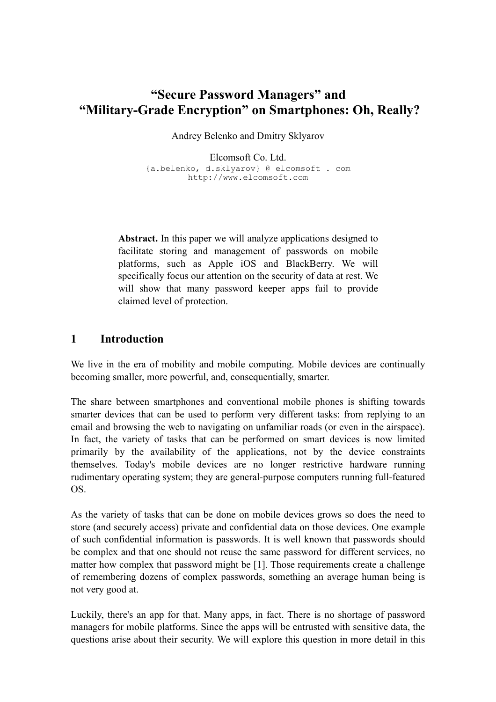# **"Secure Password Managers" and "Military-Grade Encryption" on Smartphones: Oh, Really?**

Andrey Belenko and Dmitry Sklyarov

Elcomsoft Co. Ltd. {a.belenko, d.sklyarov} @ elcomsoft . com http://www.elcomsoft.com

**Abstract.** In this paper we will analyze applications designed to facilitate storing and management of passwords on mobile platforms, such as Apple iOS and BlackBerry. We will specifically focus our attention on the security of data at rest. We will show that many password keeper apps fail to provide claimed level of protection.

## **1 Introduction**

We live in the era of mobility and mobile computing. Mobile devices are continually becoming smaller, more powerful, and, consequentially, smarter.

The share between smartphones and conventional mobile phones is shifting towards smarter devices that can be used to perform very different tasks: from replying to an email and browsing the web to navigating on unfamiliar roads (or even in the airspace). In fact, the variety of tasks that can be performed on smart devices is now limited primarily by the availability of the applications, not by the device constraints themselves. Today's mobile devices are no longer restrictive hardware running rudimentary operating system; they are general-purpose computers running full-featured OS.

As the variety of tasks that can be done on mobile devices grows so does the need to store (and securely access) private and confidential data on those devices. One example of such confidential information is passwords. It is well known that passwords should be complex and that one should not reuse the same password for different services, no matter how complex that password might be [1]. Those requirements create a challenge of remembering dozens of complex passwords, something an average human being is not very good at.

Luckily, there's an app for that. Many apps, in fact. There is no shortage of password managers for mobile platforms. Since the apps will be entrusted with sensitive data, the questions arise about their security. We will explore this question in more detail in this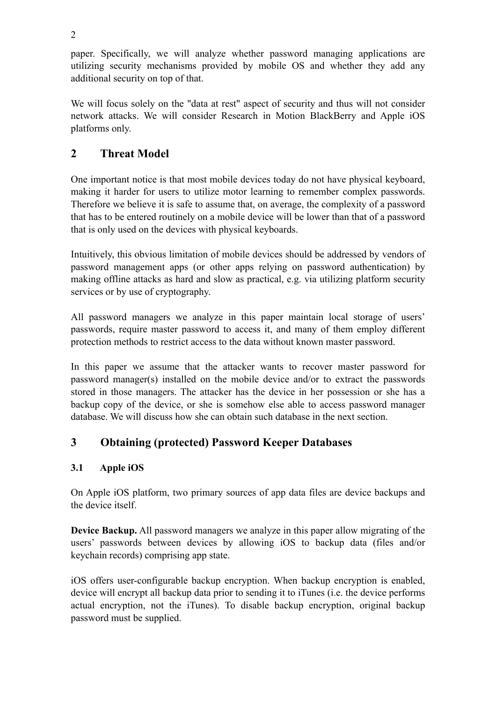paper. Specifically, we will analyze whether password managing applications are utilizing security mechanisms provided by mobile OS and whether they add any additional security on top of that.

We will focus solely on the "data at rest" aspect of security and thus will not consider network attacks. We will consider Research in Motion BlackBerry and Apple iOS platforms only.

# **2 Threat Model**

One important notice is that most mobile devices today do not have physical keyboard, making it harder for users to utilize motor learning to remember complex passwords. Therefore we believe it is safe to assume that, on average, the complexity of a password that has to be entered routinely on a mobile device will be lower than that of a password that is only used on the devices with physical keyboards.

Intuitively, this obvious limitation of mobile devices should be addressed by vendors of password management apps (or other apps relying on password authentication) by making offline attacks as hard and slow as practical, e.g. via utilizing platform security services or by use of cryptography.

All password managers we analyze in this paper maintain local storage of users' passwords, require master password to access it, and many of them employ different protection methods to restrict access to the data without known master password.

In this paper we assume that the attacker wants to recover master password for password manager(s) installed on the mobile device and/or to extract the passwords stored in those managers. The attacker has the device in her possession or she has a backup copy of the device, or she is somehow else able to access password manager database. We will discuss how she can obtain such database in the next section.

## **3 Obtaining (protected) Password Keeper Databases**

## **3.1 Apple iOS**

On Apple iOS platform, two primary sources of app data files are device backups and the device itself.

**Device Backup.** All password managers we analyze in this paper allow migrating of the users' passwords between devices by allowing iOS to backup data (files and/or keychain records) comprising app state.

iOS offers user-configurable backup encryption. When backup encryption is enabled, device will encrypt all backup data prior to sending it to iTunes (i.e. the device performs actual encryption, not the iTunes). To disable backup encryption, original backup password must be supplied.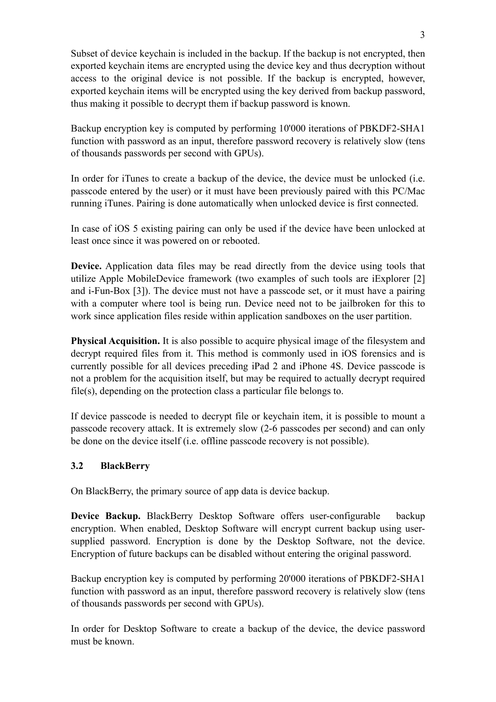Subset of device keychain is included in the backup. If the backup is not encrypted, then exported keychain items are encrypted using the device key and thus decryption without access to the original device is not possible. If the backup is encrypted, however, exported keychain items will be encrypted using the key derived from backup password, thus making it possible to decrypt them if backup password is known.

Backup encryption key is computed by performing 10'000 iterations of PBKDF2-SHA1 function with password as an input, therefore password recovery is relatively slow (tens of thousands passwords per second with GPUs).

In order for iTunes to create a backup of the device, the device must be unlocked (i.e. passcode entered by the user) or it must have been previously paired with this PC/Mac running iTunes. Pairing is done automatically when unlocked device is first connected.

In case of iOS 5 existing pairing can only be used if the device have been unlocked at least once since it was powered on or rebooted.

**Device.** Application data files may be read directly from the device using tools that utilize Apple MobileDevice framework (two examples of such tools are iExplorer [2] and i-Fun-Box [3]). The device must not have a passcode set, or it must have a pairing with a computer where tool is being run. Device need not to be jailbroken for this to work since application files reside within application sandboxes on the user partition.

**Physical Acquisition.** It is also possible to acquire physical image of the filesystem and decrypt required files from it. This method is commonly used in iOS forensics and is currently possible for all devices preceding iPad 2 and iPhone 4S. Device passcode is not a problem for the acquisition itself, but may be required to actually decrypt required file(s), depending on the protection class a particular file belongs to.

If device passcode is needed to decrypt file or keychain item, it is possible to mount a passcode recovery attack. It is extremely slow (2-6 passcodes per second) and can only be done on the device itself (i.e. offline passcode recovery is not possible).

#### **3.2 BlackBerry**

On BlackBerry, the primary source of app data is device backup.

**Device Backup.** BlackBerry Desktop Software offers user-configurable backup encryption. When enabled, Desktop Software will encrypt current backup using usersupplied password. Encryption is done by the Desktop Software, not the device. Encryption of future backups can be disabled without entering the original password.

Backup encryption key is computed by performing 20'000 iterations of PBKDF2-SHA1 function with password as an input, therefore password recovery is relatively slow (tens of thousands passwords per second with GPUs).

In order for Desktop Software to create a backup of the device, the device password must be known.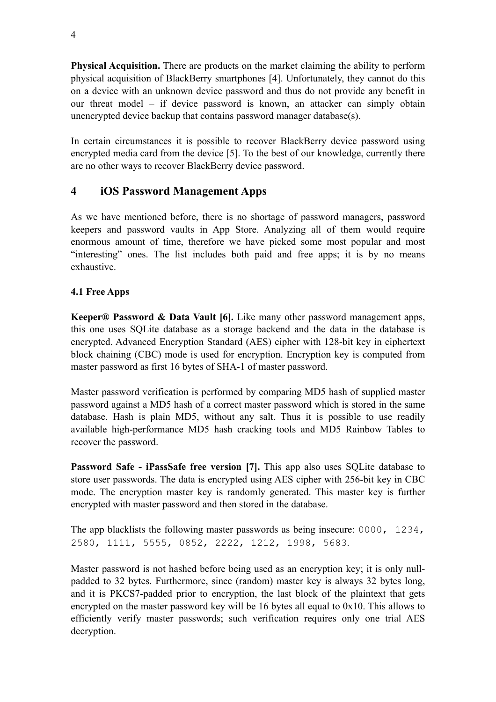**Physical Acquisition.** There are products on the market claiming the ability to perform physical acquisition of BlackBerry smartphones [4]. Unfortunately, they cannot do this on a device with an unknown device password and thus do not provide any benefit in our threat model – if device password is known, an attacker can simply obtain unencrypted device backup that contains password manager database(s).

In certain circumstances it is possible to recover BlackBerry device password using encrypted media card from the device [5]. To the best of our knowledge, currently there are no other ways to recover BlackBerry device password.

## **4 iOS Password Management Apps**

As we have mentioned before, there is no shortage of password managers, password keepers and password vaults in App Store. Analyzing all of them would require enormous amount of time, therefore we have picked some most popular and most "interesting" ones. The list includes both paid and free apps; it is by no means exhaustive.

### **4.1 Free Apps**

**Keeper® Password & Data Vault [6].** Like many other password management apps, this one uses SQLite database as a storage backend and the data in the database is encrypted. Advanced Encryption Standard (AES) cipher with 128-bit key in ciphertext block chaining (CBC) mode is used for encryption. Encryption key is computed from master password as first 16 bytes of SHA-1 of master password.

Master password verification is performed by comparing MD5 hash of supplied master password against a MD5 hash of a correct master password which is stored in the same database. Hash is plain MD5, without any salt. Thus it is possible to use readily available high-performance MD5 hash cracking tools and MD5 Rainbow Tables to recover the password.

**Password Safe - iPassSafe free version [7].** This app also uses SQLite database to store user passwords. The data is encrypted using AES cipher with 256-bit key in CBC mode. The encryption master key is randomly generated. This master key is further encrypted with master password and then stored in the database.

The app blacklists the following master passwords as being insecure: 0000, 1234, 2580, 1111, 5555, 0852, 2222, 1212, 1998, 5683.

Master password is not hashed before being used as an encryption key; it is only nullpadded to 32 bytes. Furthermore, since (random) master key is always 32 bytes long, and it is PKCS7-padded prior to encryption, the last block of the plaintext that gets encrypted on the master password key will be 16 bytes all equal to 0x10. This allows to efficiently verify master passwords; such verification requires only one trial AES decryption.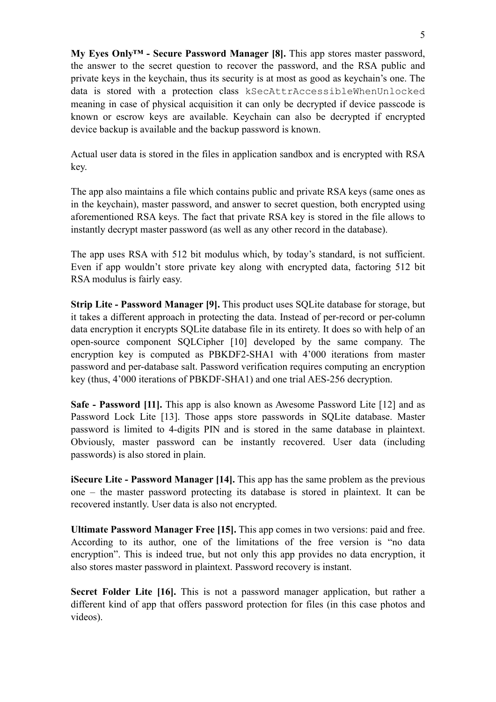**My Eyes Only™ - Secure Password Manager [8].** This app stores master password, the answer to the secret question to recover the password, and the RSA public and private keys in the keychain, thus its security is at most as good as keychain's one. The data is stored with a protection class kSecAttrAccessibleWhenUnlocked meaning in case of physical acquisition it can only be decrypted if device passcode is known or escrow keys are available. Keychain can also be decrypted if encrypted device backup is available and the backup password is known.

Actual user data is stored in the files in application sandbox and is encrypted with RSA key.

The app also maintains a file which contains public and private RSA keys (same ones as in the keychain), master password, and answer to secret question, both encrypted using aforementioned RSA keys. The fact that private RSA key is stored in the file allows to instantly decrypt master password (as well as any other record in the database).

The app uses RSA with 512 bit modulus which, by today's standard, is not sufficient. Even if app wouldn't store private key along with encrypted data, factoring 512 bit RSA modulus is fairly easy.

**Strip Lite - Password Manager [9].** This product uses SQLite database for storage, but it takes a different approach in protecting the data. Instead of per-record or per-column data encryption it encrypts SQLite database file in its entirety. It does so with help of an open-source component SQLCipher [10] developed by the same company. The encryption key is computed as PBKDF2-SHA1 with 4'000 iterations from master password and per-database salt. Password verification requires computing an encryption key (thus, 4'000 iterations of PBKDF-SHA1) and one trial AES-256 decryption.

**Safe - Password [11].** This app is also known as Awesome Password Lite [12] and as Password Lock Lite [13]. Those apps store passwords in SQLite database. Master password is limited to 4-digits PIN and is stored in the same database in plaintext. Obviously, master password can be instantly recovered. User data (including passwords) is also stored in plain.

**iSecure Lite - Password Manager [14].** This app has the same problem as the previous one – the master password protecting its database is stored in plaintext. It can be recovered instantly. User data is also not encrypted.

**Ultimate Password Manager Free [15].** This app comes in two versions: paid and free. According to its author, one of the limitations of the free version is "no data encryption". This is indeed true, but not only this app provides no data encryption, it also stores master password in plaintext. Password recovery is instant.

**Secret Folder Lite [16].** This is not a password manager application, but rather a different kind of app that offers password protection for files (in this case photos and videos).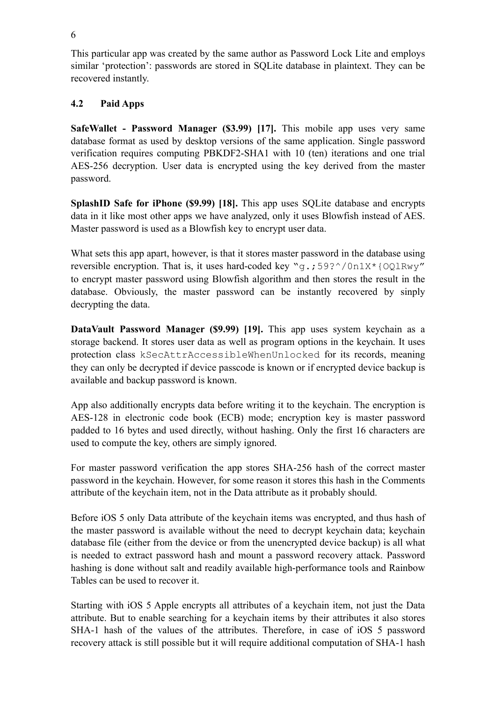This particular app was created by the same author as Password Lock Lite and employs similar 'protection': passwords are stored in SQLite database in plaintext. They can be recovered instantly.

### **4.2 Paid Apps**

**SafeWallet - Password Manager (\$3.99) [17].** This mobile app uses very same database format as used by desktop versions of the same application. Single password verification requires computing PBKDF2-SHA1 with 10 (ten) iterations and one trial AES-256 decryption. User data is encrypted using the key derived from the master password.

**SplashID Safe for iPhone (\$9.99) [18].** This app uses SQLite database and encrypts data in it like most other apps we have analyzed, only it uses Blowfish instead of AES. Master password is used as a Blowfish key to encrypt user data.

What sets this app apart, however, is that it stores master password in the database using reversible encryption. That is, it uses hard-coded key "q.;  $59?^{\circ}/0$ n1X\*{OQ1Rwy" to encrypt master password using Blowfish algorithm and then stores the result in the database. Obviously, the master password can be instantly recovered by sinply decrypting the data.

**DataVault Password Manager (\$9.99) [19].** This app uses system keychain as a storage backend. It stores user data as well as program options in the keychain. It uses protection class kSecAttrAccessibleWhenUnlocked for its records, meaning they can only be decrypted if device passcode is known or if encrypted device backup is available and backup password is known.

App also additionally encrypts data before writing it to the keychain. The encryption is AES-128 in electronic code book (ECB) mode; encryption key is master password padded to 16 bytes and used directly, without hashing. Only the first 16 characters are used to compute the key, others are simply ignored.

For master password verification the app stores SHA-256 hash of the correct master password in the keychain. However, for some reason it stores this hash in the Comments attribute of the keychain item, not in the Data attribute as it probably should.

Before iOS 5 only Data attribute of the keychain items was encrypted, and thus hash of the master password is available without the need to decrypt keychain data; keychain database file (either from the device or from the unencrypted device backup) is all what is needed to extract password hash and mount a password recovery attack. Password hashing is done without salt and readily available high-performance tools and Rainbow Tables can be used to recover it.

Starting with iOS 5 Apple encrypts all attributes of a keychain item, not just the Data attribute. But to enable searching for a keychain items by their attributes it also stores SHA-1 hash of the values of the attributes. Therefore, in case of iOS 5 password recovery attack is still possible but it will require additional computation of SHA-1 hash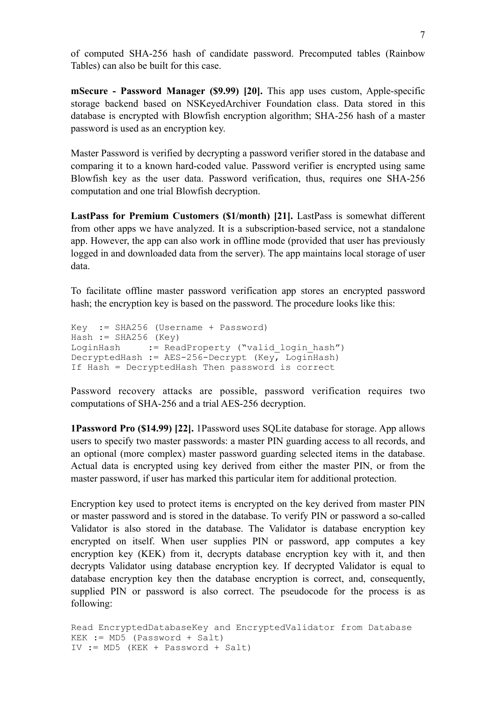of computed SHA-256 hash of candidate password. Precomputed tables (Rainbow Tables) can also be built for this case.

**mSecure - Password Manager (\$9.99) [20].** This app uses custom, Apple-specific storage backend based on NSKeyedArchiver Foundation class. Data stored in this database is encrypted with Blowfish encryption algorithm; SHA-256 hash of a master password is used as an encryption key.

Master Password is verified by decrypting a password verifier stored in the database and comparing it to a known hard-coded value. Password verifier is encrypted using same Blowfish key as the user data. Password verification, thus, requires one SHA-256 computation and one trial Blowfish decryption.

**LastPass for Premium Customers (\$1/month) [21].** LastPass is somewhat different from other apps we have analyzed. It is a subscription-based service, not a standalone app. However, the app can also work in offline mode (provided that user has previously logged in and downloaded data from the server). The app maintains local storage of user data.

To facilitate offline master password verification app stores an encrypted password hash; the encryption key is based on the password. The procedure looks like this:

```
Key := SHA256 (Username + Password)
Hash := SHA256 (Key)LoginHash := ReadProperty ("valid login hash")
DecryptedHash := AES-256-Decrypt (Key, LoginHash)
If Hash = DecryptedHash Then password is correct
```
Password recovery attacks are possible, password verification requires two computations of SHA-256 and a trial AES-256 decryption.

**1Password Pro (\$14.99) [22].** 1Password uses SQLite database for storage. App allows users to specify two master passwords: a master PIN guarding access to all records, and an optional (more complex) master password guarding selected items in the database. Actual data is encrypted using key derived from either the master PIN, or from the master password, if user has marked this particular item for additional protection.

Encryption key used to protect items is encrypted on the key derived from master PIN or master password and is stored in the database. To verify PIN or password a so-called Validator is also stored in the database. The Validator is database encryption key encrypted on itself. When user supplies PIN or password, app computes a key encryption key (KEK) from it, decrypts database encryption key with it, and then decrypts Validator using database encryption key. If decrypted Validator is equal to database encryption key then the database encryption is correct, and, consequently, supplied PIN or password is also correct. The pseudocode for the process is as following:

```
Read EncryptedDatabaseKey and EncryptedValidator from Database
KEK := MD5 (Password + Salt)
IV := MD5 (KEK + Password + Salt)
```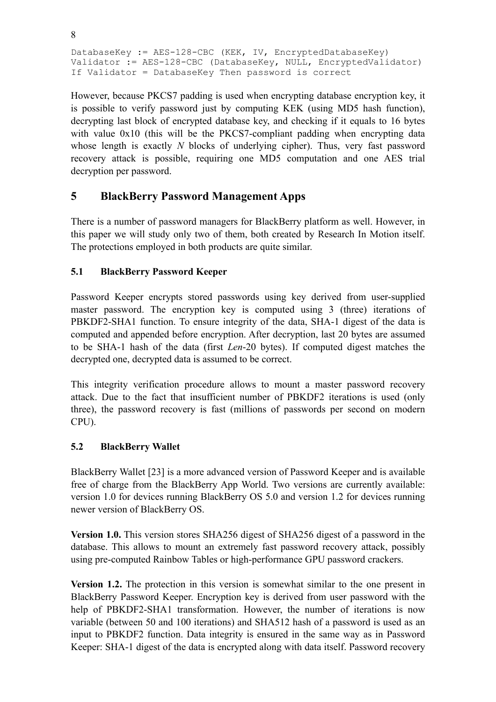DatabaseKey := AES-128-CBC (KEK, IV, EncryptedDatabaseKey) Validator := AES-128-CBC (DatabaseKey, NULL, EncryptedValidator) If Validator = DatabaseKey Then password is correct

However, because PKCS7 padding is used when encrypting database encryption key, it is possible to verify password just by computing KEK (using MD5 hash function), decrypting last block of encrypted database key, and checking if it equals to 16 bytes with value  $0x10$  (this will be the PKCS7-compliant padding when encrypting data whose length is exactly *N* blocks of underlying cipher). Thus, very fast password recovery attack is possible, requiring one MD5 computation and one AES trial decryption per password.

## **5 BlackBerry Password Management Apps**

There is a number of password managers for BlackBerry platform as well. However, in this paper we will study only two of them, both created by Research In Motion itself. The protections employed in both products are quite similar.

#### **5.1 BlackBerry Password Keeper**

Password Keeper encrypts stored passwords using key derived from user-supplied master password. The encryption key is computed using 3 (three) iterations of PBKDF2-SHA1 function. To ensure integrity of the data, SHA-1 digest of the data is computed and appended before encryption. After decryption, last 20 bytes are assumed to be SHA-1 hash of the data (first *Len*-20 bytes). If computed digest matches the decrypted one, decrypted data is assumed to be correct.

This integrity verification procedure allows to mount a master password recovery attack. Due to the fact that insufficient number of PBKDF2 iterations is used (only three), the password recovery is fast (millions of passwords per second on modern CPU).

#### **5.2 BlackBerry Wallet**

BlackBerry Wallet [23] is a more advanced version of Password Keeper and is available free of charge from the BlackBerry App World. Two versions are currently available: version 1.0 for devices running BlackBerry OS 5.0 and version 1.2 for devices running newer version of BlackBerry OS.

**Version 1.0.** This version stores SHA256 digest of SHA256 digest of a password in the database. This allows to mount an extremely fast password recovery attack, possibly using pre-computed Rainbow Tables or high-performance GPU password crackers.

**Version 1.2.** The protection in this version is somewhat similar to the one present in BlackBerry Password Keeper. Encryption key is derived from user password with the help of PBKDF2-SHA1 transformation. However, the number of iterations is now variable (between 50 and 100 iterations) and SHA512 hash of a password is used as an input to PBKDF2 function. Data integrity is ensured in the same way as in Password Keeper: SHA-1 digest of the data is encrypted along with data itself. Password recovery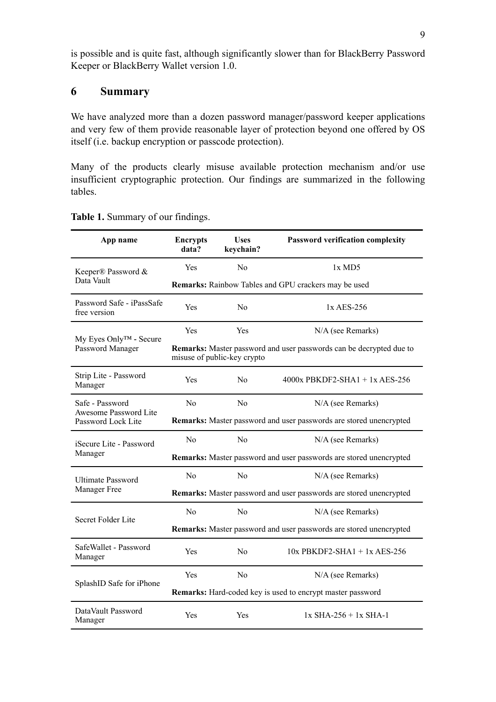is possible and is quite fast, although significantly slower than for BlackBerry Password Keeper or BlackBerry Wallet version 1.0.

## **6 Summary**

We have analyzed more than a dozen password manager/password keeper applications and very few of them provide reasonable layer of protection beyond one offered by OS itself (i.e. backup encryption or passcode protection).

Many of the products clearly misuse available protection mechanism and/or use insufficient cryptographic protection. Our findings are summarized in the following tables.

| App name                                                       | <b>Encrypts</b><br>data?                                                                                  | <b>Uses</b><br>keychain? | Password verification complexity |  |  |  |
|----------------------------------------------------------------|-----------------------------------------------------------------------------------------------------------|--------------------------|----------------------------------|--|--|--|
| Keeper® Password &                                             | Yes                                                                                                       | $\rm No$                 | $1x$ MD5                         |  |  |  |
| Data Vault                                                     | Remarks: Rainbow Tables and GPU crackers may be used                                                      |                          |                                  |  |  |  |
| Password Safe - iPassSafe<br>free version                      | Yes                                                                                                       | N <sub>0</sub>           | $1x$ AES-256                     |  |  |  |
| My Eyes Only™ - Secure<br>Password Manager                     | Yes                                                                                                       | Yes                      | N/A (see Remarks)                |  |  |  |
|                                                                | <b>Remarks:</b> Master password and user passwords can be decrypted due to<br>misuse of public-key crypto |                          |                                  |  |  |  |
| Strip Lite - Password<br>Manager                               | Yes                                                                                                       | N <sub>o</sub>           | $4000x$ PBKDF2-SHA1 + 1x AES-256 |  |  |  |
| Safe - Password<br>Awesome Password Lite<br>Password Lock Lite | N <sub>0</sub>                                                                                            | N <sub>0</sub>           | N/A (see Remarks)                |  |  |  |
|                                                                | Remarks: Master password and user passwords are stored unencrypted                                        |                          |                                  |  |  |  |
| iSecure Lite - Password<br>Manager                             | N <sub>0</sub>                                                                                            | N <sub>0</sub>           | N/A (see Remarks)                |  |  |  |
|                                                                | Remarks: Master password and user passwords are stored unencrypted                                        |                          |                                  |  |  |  |
| Ultimate Password<br>Manager Free                              | N <sub>0</sub>                                                                                            | N <sub>0</sub>           | N/A (see Remarks)                |  |  |  |
|                                                                | Remarks: Master password and user passwords are stored unencrypted                                        |                          |                                  |  |  |  |
| Secret Folder Lite                                             | No                                                                                                        | No                       | N/A (see Remarks)                |  |  |  |
|                                                                | Remarks: Master password and user passwords are stored unencrypted                                        |                          |                                  |  |  |  |
| SafeWallet - Password<br>Manager                               | Yes                                                                                                       | N <sub>0</sub>           | $10x$ PBKDF2-SHA1 + 1x AES-256   |  |  |  |
| SplashID Safe for iPhone                                       | Yes                                                                                                       | N <sub>0</sub>           | N/A (see Remarks)                |  |  |  |
|                                                                | <b>Remarks:</b> Hard-coded key is used to encrypt master password                                         |                          |                                  |  |  |  |
| DataVault Password<br>Manager                                  | Yes                                                                                                       | Yes                      | $1x$ SHA-256 + $1x$ SHA-1        |  |  |  |

#### **Table 1.** Summary of our findings.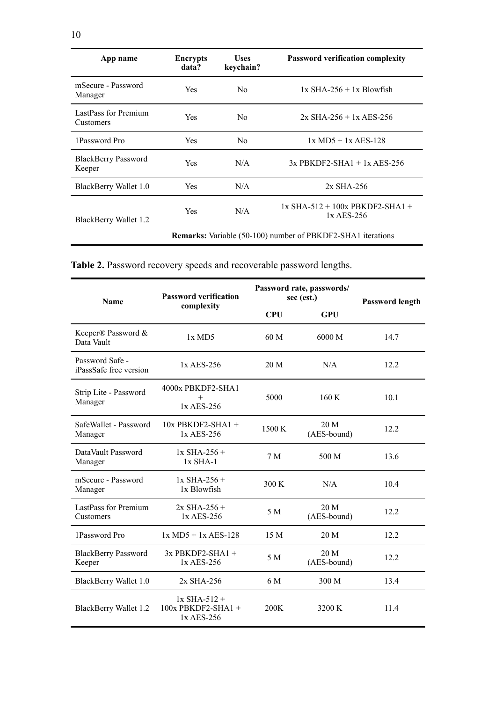| App name                             | <b>Encrypts</b><br>data?                                           | <b>Uses</b><br>keychain? | <b>Password verification complexity</b>         |  |  |
|--------------------------------------|--------------------------------------------------------------------|--------------------------|-------------------------------------------------|--|--|
| mSecure - Password<br>Manager        | <b>Yes</b>                                                         | No.                      | $1x$ SHA-256 + $1x$ Blowfish                    |  |  |
| LastPass for Premium<br>Customers    | <b>Yes</b>                                                         | No.                      | $2x$ SHA-256 + 1x AES-256                       |  |  |
| 1Password Pro                        | Yes.                                                               | N <sub>0</sub>           | $1x \text{ MD5} + 1x \text{ AES} - 128$         |  |  |
| <b>BlackBerry Password</b><br>Keeper | <b>Yes</b>                                                         | N/A                      | $3x$ PBKDF2-SHA1 + 1x AES-256                   |  |  |
| BlackBerry Wallet 1.0                | Yes.                                                               | N/A                      | $2x$ SHA-256                                    |  |  |
| BlackBerry Wallet 1.2                | <b>Yes</b>                                                         | N/A                      | $1x$ SHA-512 + 100x PBKDF2-SHA1 +<br>1x AES-256 |  |  |
|                                      | <b>Remarks:</b> Variable (50-100) number of PBKDF2-SHA1 iterations |                          |                                                 |  |  |

**Table 2.** Password recovery speeds and recoverable password lengths.

| <b>Name</b>                               | <b>Password verification</b>                         | Password rate, passwords/<br>sec (est.) | Password length     |      |
|-------------------------------------------|------------------------------------------------------|-----------------------------------------|---------------------|------|
|                                           | complexity                                           | <b>CPU</b>                              | <b>GPU</b>          |      |
| Keeper® Password &<br>Data Vault          | $1x$ MD5                                             | 60 <sub>M</sub>                         | 6000 M              | 14.7 |
| Password Safe -<br>iPassSafe free version | $1x$ AES-256                                         | 20 M                                    | N/A                 | 12.2 |
| Strip Lite - Password<br>Manager          | 4000x PBKDF2-SHA1<br>$^{+}$<br>1x AES-256            | 5000                                    | 160K                | 10.1 |
| SafeWallet - Password<br>Manager          | $10x$ PBKDF2-SHA1 +<br>1x AES-256                    | 1500 K                                  | 20 M<br>(AES-bound) | 12.2 |
| DataVault Password<br>Manager             | $1x$ SHA-256 +<br>$1x$ SHA-1                         | 7 <sub>M</sub>                          | 500 M               | 13.6 |
| mSecure - Password<br>Manager             | $1x$ SHA-256 +<br>1x Blowfish                        | 300 K                                   | N/A                 | 10.4 |
| LastPass for Premium<br>Customers         | $2x$ SHA-256 +<br>1x AES-256                         | 5 M                                     | 20 M<br>(AES-bound) | 12.2 |
| 1Password Pro                             | $1x \text{ MD5} + 1x \text{ AES-128}$                | 15 M                                    | 20 M                | 12.2 |
| <b>BlackBerry Password</b><br>Keeper      | 3x PBKDF2-SHA1 +<br>1x AES-256                       | 5 M                                     | 20 M<br>(AES-bound) | 12.2 |
| <b>BlackBerry Wallet 1.0</b>              | 2x SHA-256                                           | 6 M                                     | 300 M               | 13.4 |
| <b>BlackBerry Wallet 1.2</b>              | $1x$ SHA-512 +<br>$100x$ PBKDF2-SHA1 +<br>1x AES-256 | 200K                                    | 3200 K              | 11.4 |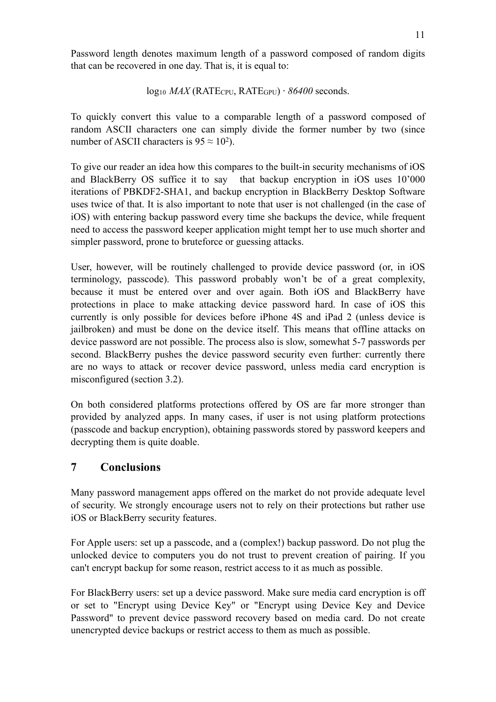Password length denotes maximum length of a password composed of random digits that can be recovered in one day. That is, it is equal to:

$$
log_{10} MAX(RATE_{CPU}, RATE_{GPU}) \cdot 86400
$$
 seconds.

To quickly convert this value to a comparable length of a password composed of random ASCII characters one can simply divide the former number by two (since number of ASCII characters is  $95 \approx 10^2$ ).

To give our reader an idea how this compares to the built-in security mechanisms of iOS and BlackBerry OS suffice it to say that backup encryption in iOS uses 10'000 iterations of PBKDF2-SHA1, and backup encryption in BlackBerry Desktop Software uses twice of that. It is also important to note that user is not challenged (in the case of iOS) with entering backup password every time she backups the device, while frequent need to access the password keeper application might tempt her to use much shorter and simpler password, prone to bruteforce or guessing attacks.

User, however, will be routinely challenged to provide device password (or, in iOS terminology, passcode). This password probably won't be of a great complexity, because it must be entered over and over again. Both iOS and BlackBerry have protections in place to make attacking device password hard. In case of iOS this currently is only possible for devices before iPhone 4S and iPad 2 (unless device is jailbroken) and must be done on the device itself. This means that offline attacks on device password are not possible. The process also is slow, somewhat 5-7 passwords per second. BlackBerry pushes the device password security even further: currently there are no ways to attack or recover device password, unless media card encryption is misconfigured (section 3.2).

On both considered platforms protections offered by OS are far more stronger than provided by analyzed apps. In many cases, if user is not using platform protections (passcode and backup encryption), obtaining passwords stored by password keepers and decrypting them is quite doable.

## **7 Conclusions**

Many password management apps offered on the market do not provide adequate level of security. We strongly encourage users not to rely on their protections but rather use iOS or BlackBerry security features.

For Apple users: set up a passcode, and a (complex!) backup password. Do not plug the unlocked device to computers you do not trust to prevent creation of pairing. If you can't encrypt backup for some reason, restrict access to it as much as possible.

For BlackBerry users: set up a device password. Make sure media card encryption is off or set to "Encrypt using Device Key" or "Encrypt using Device Key and Device Password" to prevent device password recovery based on media card. Do not create unencrypted device backups or restrict access to them as much as possible.